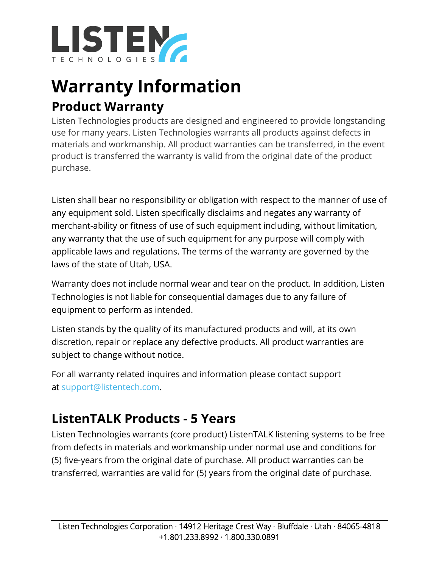

# **Warranty Information Product Warranty**

Listen Technologies products are designed and engineered to provide longstanding use for many years. Listen Technologies warrants all products against defects in materials and workmanship. All product warranties can be transferred, in the event product is transferred the warranty is valid from the original date of the product purchase.

Listen shall bear no responsibility or obligation with respect to the manner of use of any equipment sold. Listen specifically disclaims and negates any warranty of merchant-ability or fitness of use of such equipment including, without limitation, any warranty that the use of such equipment for any purpose will comply with applicable laws and regulations. The terms of the warranty are governed by the laws of the state of Utah, USA.

Warranty does not include normal wear and tear on the product. In addition, Listen Technologies is not liable for consequential damages due to any failure of equipment to perform as intended.

Listen stands by the quality of its manufactured products and will, at its own discretion, repair or replace any defective products. All product warranties are subject to change without notice.

For all warranty related inquires and information please contact support at [support@listentech.com.](mailto:support@listentech.com)

# **ListenTALK Products - 5 Years**

Listen Technologies warrants (core product) ListenTALK listening systems to be free from defects in materials and workmanship under normal use and conditions for (5) five-years from the original date of purchase. All product warranties can be transferred, warranties are valid for (5) years from the original date of purchase.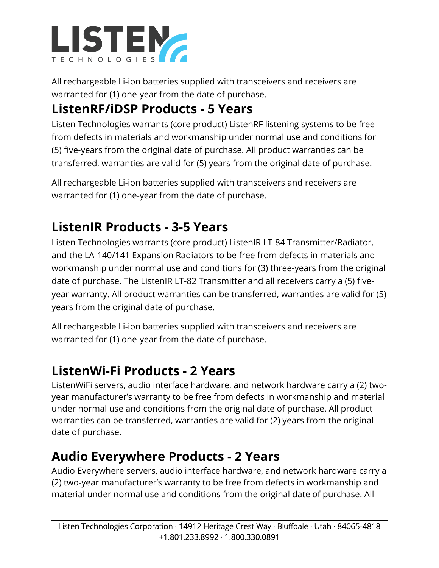

All rechargeable Li-ion batteries supplied with transceivers and receivers are warranted for (1) one-year from the date of purchase.

# **ListenRF/iDSP Products - 5 Years**

Listen Technologies warrants (core product) ListenRF listening systems to be free from defects in materials and workmanship under normal use and conditions for (5) five-years from the original date of purchase. All product warranties can be transferred, warranties are valid for (5) years from the original date of purchase.

All rechargeable Li-ion batteries supplied with transceivers and receivers are warranted for (1) one-year from the date of purchase.

### **ListenIR Products - 3-5 Years**

Listen Technologies warrants (core product) ListenIR LT-84 Transmitter/Radiator, and the LA-140/141 Expansion Radiators to be free from defects in materials and workmanship under normal use and conditions for (3) three-years from the original date of purchase. The ListenIR LT-82 Transmitter and all receivers carry a (5) fiveyear warranty. All product warranties can be transferred, warranties are valid for (5) years from the original date of purchase.

All rechargeable Li-ion batteries supplied with transceivers and receivers are warranted for (1) one-year from the date of purchase.

#### **ListenWi-Fi Products - 2 Years**

ListenWiFi servers, audio interface hardware, and network hardware carry a (2) twoyear manufacturer's warranty to be free from defects in workmanship and material under normal use and conditions from the original date of purchase. All product warranties can be transferred, warranties are valid for (2) years from the original date of purchase.

#### **Audio Everywhere Products - 2 Years**

Audio Everywhere servers, audio interface hardware, and network hardware carry a (2) two-year manufacturer's warranty to be free from defects in workmanship and material under normal use and conditions from the original date of purchase. All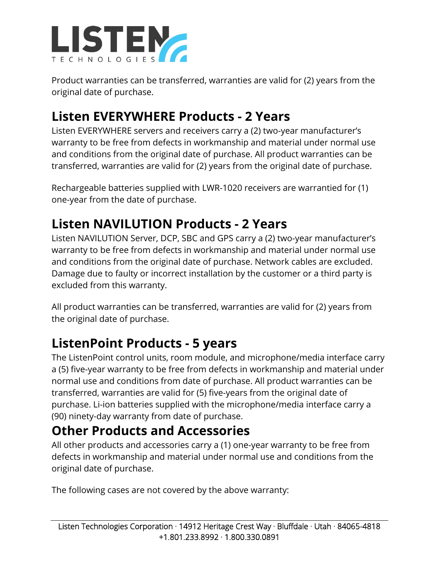

Product warranties can be transferred, warranties are valid for (2) years from the original date of purchase.

## **Listen EVERYWHERE Products - 2 Years**

Listen EVERYWHERE servers and receivers carry a (2) two-year manufacturer's warranty to be free from defects in workmanship and material under normal use and conditions from the original date of purchase. All product warranties can be transferred, warranties are valid for (2) years from the original date of purchase.

Rechargeable batteries supplied with LWR-1020 receivers are warrantied for (1) one-year from the date of purchase.

### **Listen NAVILUTION Products - 2 Years**

Listen NAVILUTION Server, DCP, SBC and GPS carry a (2) two-year manufacturer's warranty to be free from defects in workmanship and material under normal use and conditions from the original date of purchase. Network cables are excluded. Damage due to faulty or incorrect installation by the customer or a third party is excluded from this warranty.

All product warranties can be transferred, warranties are valid for (2) years from the original date of purchase.

## **ListenPoint Products - 5 years**

The ListenPoint control units, room module, and microphone/media interface carry a (5) five-year warranty to be free from defects in workmanship and material under normal use and conditions from date of purchase. All product warranties can be transferred, warranties are valid for (5) five-years from the original date of purchase. Li-ion batteries supplied with the microphone/media interface carry a (90) ninety-day warranty from date of purchase.

#### **Other Products and Accessories**

All other products and accessories carry a (1) one-year warranty to be free from defects in workmanship and material under normal use and conditions from the original date of purchase.

The following cases are not covered by the above warranty: